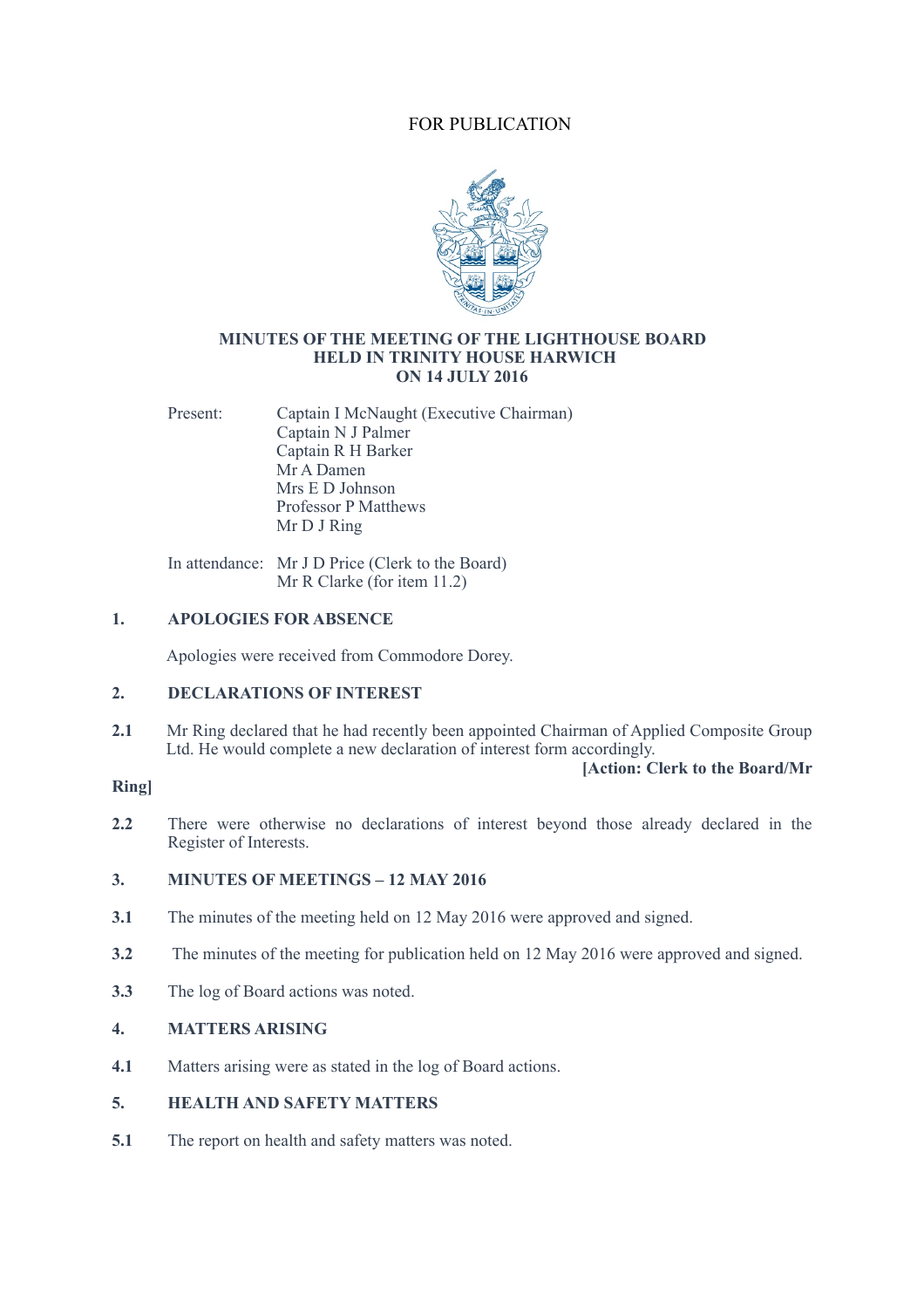# FOR PUBLICATION



#### **MINUTES OF THE MEETING OF THE LIGHTHOUSE BOARD HELD IN TRINITY HOUSE HARWICH ON 14 JULY 2016**

Present: Captain I McNaught (Executive Chairman) Captain N J Palmer Captain R H Barker Mr A Damen Mrs E D Johnson Professor P Matthews Mr D J Ring

In attendance: Mr J D Price (Clerk to the Board) Mr R Clarke (for item 11.2)

# **1. APOLOGIES FOR ABSENCE**

Apologies were received from Commodore Dorey.

# **2. DECLARATIONS OF INTEREST**

2.1 Mr Ring declared that he had recently been appointed Chairman of Applied Composite Group Ltd. He would complete a new declaration of interest form accordingly.

**[Action: Clerk to the Board/Mr** 

# **Ring]**

**2.2** There were otherwise no declarations of interest beyond those already declared in the Register of Interests.

# **3. MINUTES OF MEETINGS – 12 MAY 2016**

- **3.1** The minutes of the meeting held on 12 May 2016 were approved and signed.
- **3.2** The minutes of the meeting for publication held on 12 May 2016 were approved and signed.
- **3.3** The log of Board actions was noted.

# **4. MATTERS ARISING**

**4.1** Matters arising were as stated in the log of Board actions.

# **5. HEALTH AND SAFETY MATTERS**

**5.1** The report on health and safety matters was noted.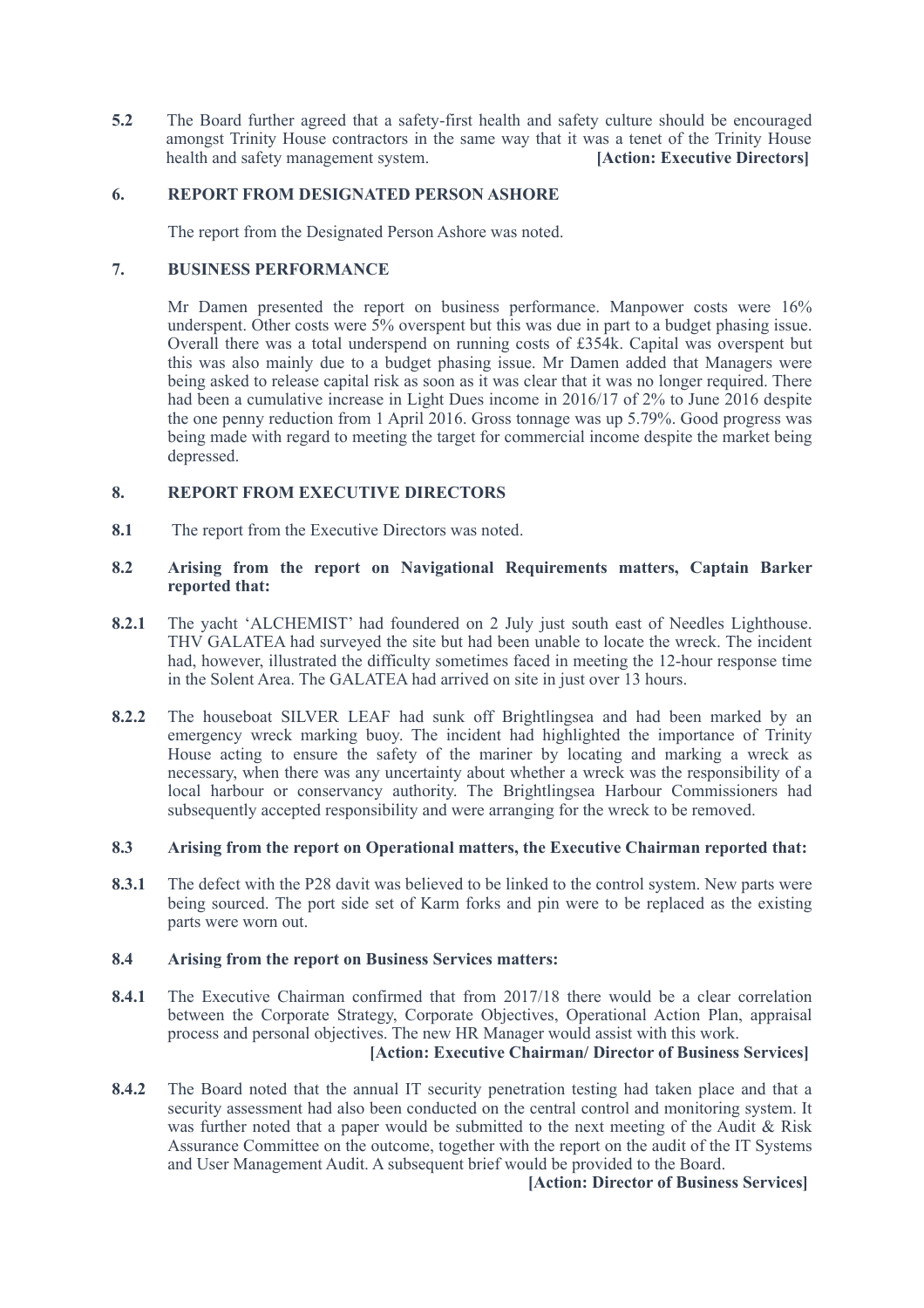**5.2** The Board further agreed that a safety-first health and safety culture should be encouraged amongst Trinity House contractors in the same way that it was a tenet of the Trinity House health and safety management system. **[Action: Executive Directors]** 

# **6. REPORT FROM DESIGNATED PERSON ASHORE**

The report from the Designated Person Ashore was noted.

# **7. BUSINESS PERFORMANCE**

Mr Damen presented the report on business performance. Manpower costs were 16% underspent. Other costs were  $5\%$  overspent but this was due in part to a budget phasing issue. Overall there was a total underspend on running costs of £354k. Capital was overspent but this was also mainly due to a budget phasing issue. Mr Damen added that Managers were being asked to release capital risk as soon as it was clear that it was no longer required. There had been a cumulative increase in Light Dues income in 2016/17 of 2% to June 2016 despite the one penny reduction from 1 April 2016. Gross tonnage was up 5.79%. Good progress was being made with regard to meeting the target for commercial income despite the market being depressed.

# **8. REPORT FROM EXECUTIVE DIRECTORS**

**8.1** The report from the Executive Directors was noted.

#### **8.2 Arising from the report on Navigational Requirements matters, Captain Barker reported that:**

- **8.2.1** The yacht 'ALCHEMIST' had foundered on 2 July just south east of Needles Lighthouse. THV GALATEA had surveyed the site but had been unable to locate the wreck. The incident had, however, illustrated the difficulty sometimes faced in meeting the 12-hour response time in the Solent Area. The GALATEA had arrived on site in just over 13 hours.
- **8.2.2** The houseboat SILVER LEAF had sunk off Brightlingsea and had been marked by an emergency wreck marking buoy. The incident had highlighted the importance of Trinity House acting to ensure the safety of the mariner by locating and marking a wreck as necessary, when there was any uncertainty about whether a wreck was the responsibility of a local harbour or conservancy authority. The Brightlingsea Harbour Commissioners had subsequently accepted responsibility and were arranging for the wreck to be removed.

# **8.3 Arising from the report on Operational matters, the Executive Chairman reported that:**

**8.3.1** The defect with the P28 davit was believed to be linked to the control system. New parts were being sourced. The port side set of Karm forks and pin were to be replaced as the existing parts were worn out.

#### **8.4 Arising from the report on Business Services matters:**

- **8.4.1** The Executive Chairman confirmed that from 2017/18 there would be a clear correlation between the Corporate Strategy, Corporate Objectives, Operational Action Plan, appraisal process and personal objectives. The new HR Manager would assist with this work. **[Action: Executive Chairman/ Director of Business Services]**
- **8.4.2** The Board noted that the annual IT security penetration testing had taken place and that a security assessment had also been conducted on the central control and monitoring system. It was further noted that a paper would be submitted to the next meeting of the Audit & Risk Assurance Committee on the outcome, together with the report on the audit of the IT Systems and User Management Audit. A subsequent brief would be provided to the Board.

 **[Action: Director of Business Services]**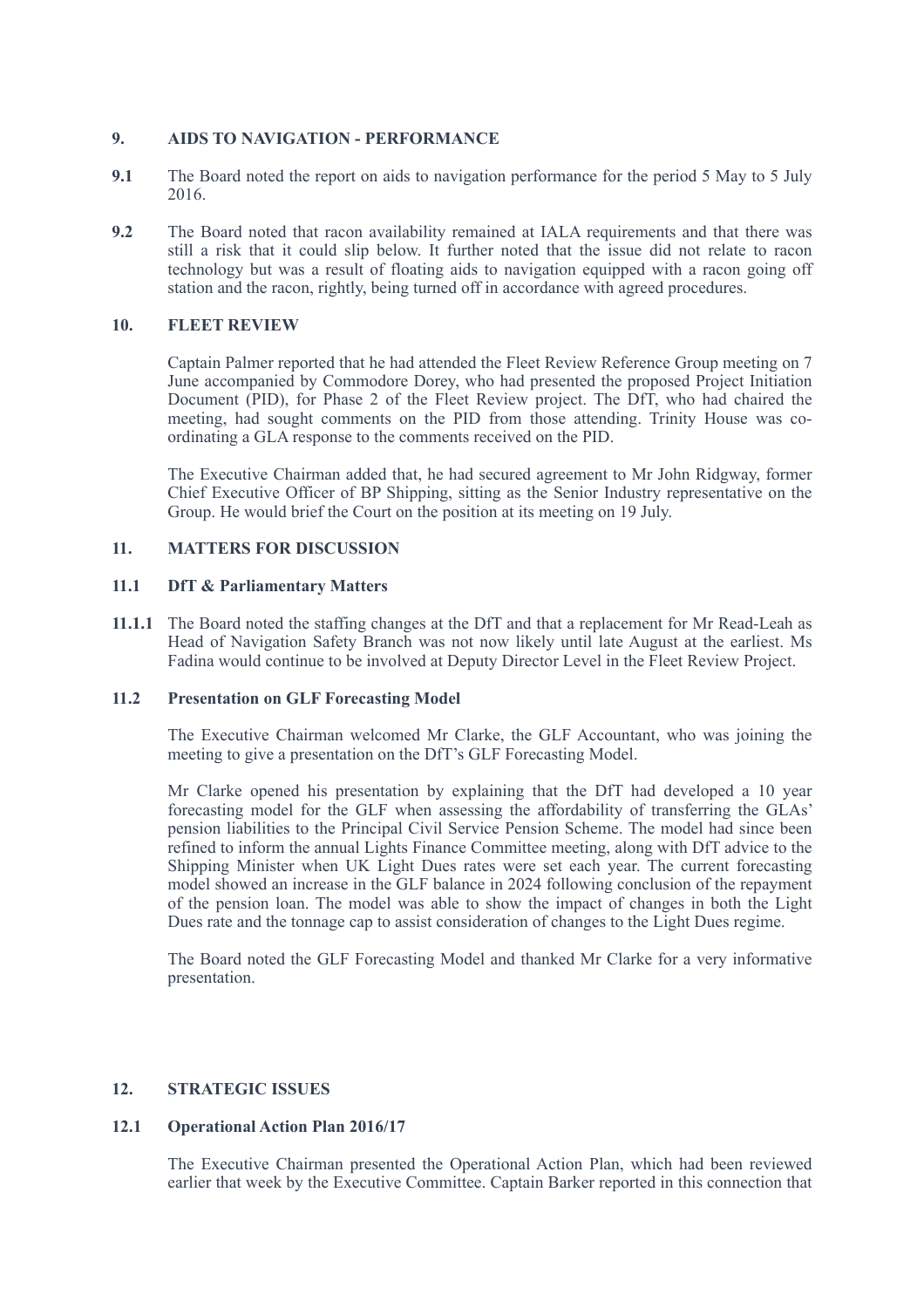# **9. AIDS TO NAVIGATION - PERFORMANCE**

- **9.1** The Board noted the report on aids to navigation performance for the period 5 May to 5 July 2016.
- **9.2** The Board noted that racon availability remained at IALA requirements and that there was still a risk that it could slip below. It further noted that the issue did not relate to racon technology but was a result of floating aids to navigation equipped with a racon going off station and the racon, rightly, being turned off in accordance with agreed procedures.

# **10. FLEET REVIEW**

Captain Palmer reported that he had attended the Fleet Review Reference Group meeting on 7 June accompanied by Commodore Dorey, who had presented the proposed Project Initiation Document (PID), for Phase 2 of the Fleet Review project. The DfT, who had chaired the meeting, had sought comments on the PID from those attending. Trinity House was coordinating a GLA response to the comments received on the PID.

The Executive Chairman added that, he had secured agreement to Mr John Ridgway, former Chief Executive Officer of BP Shipping, sitting as the Senior Industry representative on the Group. He would brief the Court on the position at its meeting on 19 July.

# **11. MATTERS FOR DISCUSSION**

# **11.1 DfT & Parliamentary Matters**

**11.1.1** The Board noted the staffing changes at the DfT and that a replacement for Mr Read-Leah as Head of Navigation Safety Branch was not now likely until late August at the earliest. Ms Fadina would continue to be involved at Deputy Director Level in the Fleet Review Project.

# **11.2 Presentation on GLF Forecasting Model**

The Executive Chairman welcomed Mr Clarke, the GLF Accountant, who was joining the meeting to give a presentation on the DfT's GLF Forecasting Model.

 Mr Clarke opened his presentation by explaining that the DfT had developed a 10 year forecasting model for the GLF when assessing the affordability of transferring the GLAs' pension liabilities to the Principal Civil Service Pension Scheme. The model had since been refined to inform the annual Lights Finance Committee meeting, along with DfT advice to the Shipping Minister when UK Light Dues rates were set each year. The current forecasting model showed an increase in the GLF balance in 2024 following conclusion of the repayment of the pension loan. The model was able to show the impact of changes in both the Light Dues rate and the tonnage cap to assist consideration of changes to the Light Dues regime.

 The Board noted the GLF Forecasting Model and thanked Mr Clarke for a very informative presentation.

# **12. STRATEGIC ISSUES**

# **12.1 Operational Action Plan 2016/17**

The Executive Chairman presented the Operational Action Plan, which had been reviewed earlier that week by the Executive Committee. Captain Barker reported in this connection that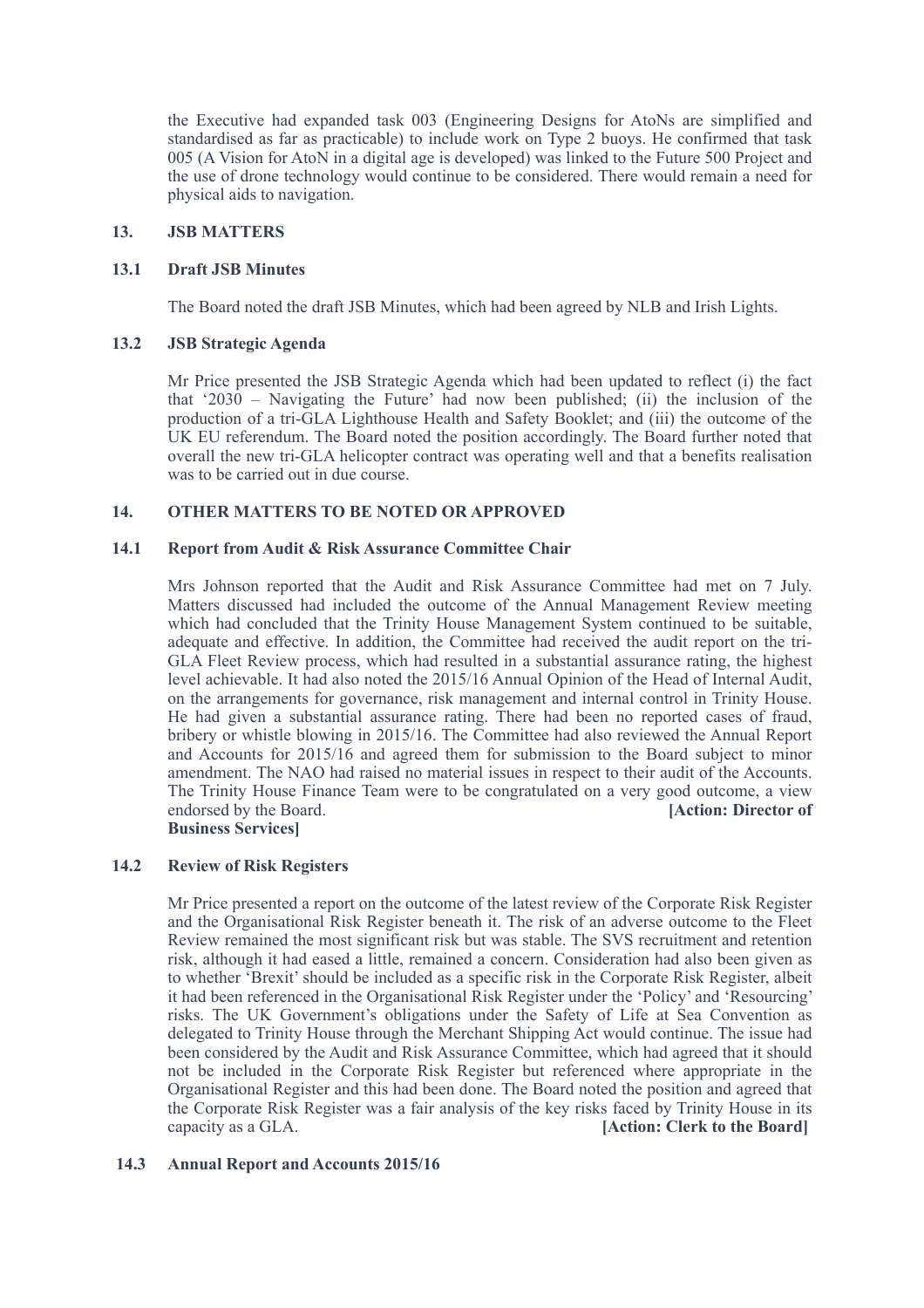the Executive had expanded task 003 (Engineering Designs for AtoNs are simplified and standardised as far as practicable) to include work on Type 2 buoys. He confirmed that task 005 (A Vision for AtoN in a digital age is developed) was linked to the Future 500 Project and the use of drone technology would continue to be considered. There would remain a need for physical aids to navigation.

## **13. JSB MATTERS**

#### **13.1 Draft JSB Minutes**

The Board noted the draft JSB Minutes, which had been agreed by NLB and Irish Lights.

#### **13.2 JSB Strategic Agenda**

Mr Price presented the JSB Strategic Agenda which had been updated to reflect (i) the fact that '2030 – Navigating the Future' had now been published; (ii) the inclusion of the production of a tri-GLA Lighthouse Health and Safety Booklet; and (iii) the outcome of the UK EU referendum. The Board noted the position accordingly. The Board further noted that overall the new tri-GLA helicopter contract was operating well and that a benefits realisation was to be carried out in due course.

# **14. OTHER MATTERS TO BE NOTED OR APPROVED**

#### **14.1 Report from Audit & Risk Assurance Committee Chair**

Mrs Johnson reported that the Audit and Risk Assurance Committee had met on 7 July. Matters discussed had included the outcome of the Annual Management Review meeting which had concluded that the Trinity House Management System continued to be suitable, adequate and effective. In addition, the Committee had received the audit report on the tri-GLA Fleet Review process, which had resulted in a substantial assurance rating, the highest level achievable. It had also noted the 2015/16 Annual Opinion of the Head of Internal Audit, on the arrangements for governance, risk management and internal control in Trinity House. He had given a substantial assurance rating. There had been no reported cases of fraud, bribery or whistle blowing in 2015/16. The Committee had also reviewed the Annual Report and Accounts for 2015/16 and agreed them for submission to the Board subject to minor amendment. The NAO had raised no material issues in respect to their audit of the Accounts. The Trinity House Finance Team were to be congratulated on a very good outcome, a view endorsed by the Board. **[Action: Director of Business Services]** 

# **14.2 Review of Risk Registers**

Mr Price presented a report on the outcome of the latest review of the Corporate Risk Register and the Organisational Risk Register beneath it. The risk of an adverse outcome to the Fleet Review remained the most significant risk but was stable. The SVS recruitment and retention risk, although it had eased a little, remained a concern. Consideration had also been given as to whether 'Brexit' should be included as a specific risk in the Corporate Risk Register, albeit it had been referenced in the Organisational Risk Register under the 'Policy' and 'Resourcing' risks. The UK Government's obligations under the Safety of Life at Sea Convention as delegated to Trinity House through the Merchant Shipping Act would continue. The issue had been considered by the Audit and Risk Assurance Committee, which had agreed that it should not be included in the Corporate Risk Register but referenced where appropriate in the Organisational Register and this had been done. The Board noted the position and agreed that the Corporate Risk Register was a fair analysis of the key risks faced by Trinity House in its capacity as a GLA. **[Action: Clerk to the Board]**

# **14.3 Annual Report and Accounts 2015/16**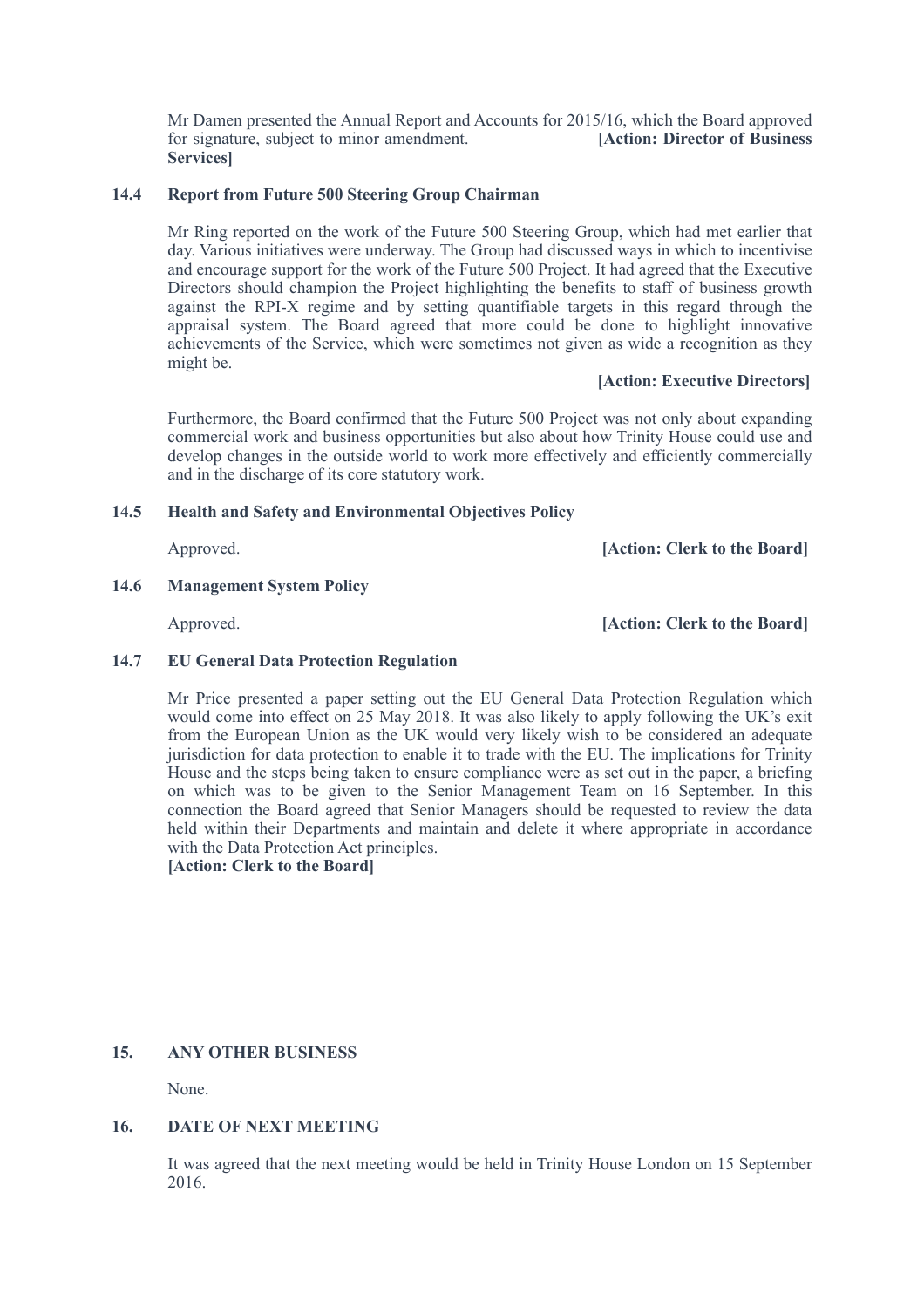Mr Damen presented the Annual Report and Accounts for 2015/16, which the Board approved for signature, subject to minor amendment. **[Action: Director of Business Services]** 

# **14.4 Report from Future 500 Steering Group Chairman**

Mr Ring reported on the work of the Future 500 Steering Group, which had met earlier that day. Various initiatives were underway. The Group had discussed ways in which to incentivise and encourage support for the work of the Future 500 Project. It had agreed that the Executive Directors should champion the Project highlighting the benefits to staff of business growth against the RPI-X regime and by setting quantifiable targets in this regard through the appraisal system. The Board agreed that more could be done to highlight innovative achievements of the Service, which were sometimes not given as wide a recognition as they might be.

# **[Action: Executive Directors]**

Furthermore, the Board confirmed that the Future 500 Project was not only about expanding commercial work and business opportunities but also about how Trinity House could use and develop changes in the outside world to work more effectively and efficiently commercially and in the discharge of its core statutory work.

# **14.5 Health and Safety and Environmental Objectives Policy**

Approved. **[Action: Clerk to the Board]** 

# **14.6 Management System Policy**

Approved. **[Action: Clerk to the Board]** 

# **14.7 EU General Data Protection Regulation**

Mr Price presented a paper setting out the EU General Data Protection Regulation which would come into effect on 25 May 2018. It was also likely to apply following the UK's exit from the European Union as the UK would very likely wish to be considered an adequate jurisdiction for data protection to enable it to trade with the EU. The implications for Trinity House and the steps being taken to ensure compliance were as set out in the paper, a briefing on which was to be given to the Senior Management Team on 16 September. In this connection the Board agreed that Senior Managers should be requested to review the data held within their Departments and maintain and delete it where appropriate in accordance with the Data Protection Act principles.

**[Action: Clerk to the Board]**

# **15. ANY OTHER BUSINESS**

None.

# **16. DATE OF NEXT MEETING**

It was agreed that the next meeting would be held in Trinity House London on 15 September 2016.